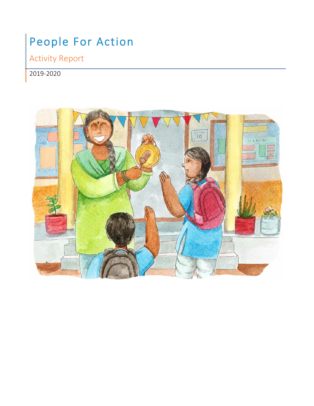# People For Action

Activity Report

## 2019-2020

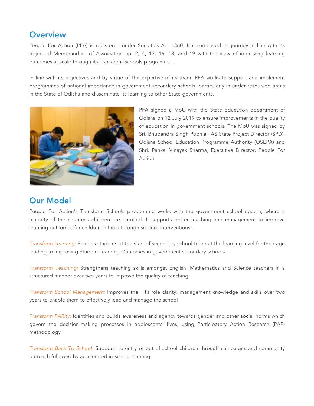#### **Overview**

People For Action (PFA) is registered under Societies Act 1860. It commenced its journey in line with its object of Memorandum of Association no. 2, 4, 13, 16, 18, and 19 with the view of improving learning outcomes at scale through its Transform Schools programme .

In line with its objectives and by virtue of the expertise of its team, PFA works to support and implement programmes of national importance in government secondary schools, particularly in under-resourced areas in the State of Odisha and disseminate its learning to other State governments.



PFA signed a MoU with the State Education department of Odisha on 12 July 2019 to ensure improvements in the quality of education in government schools. The MoU was signed by Sri. Bhupendra Singh Poonia, IAS State Project Director (SPD), Odisha School Education Programme Authority (OSEPA) and Shri. Pankaj Vinayak Sharma, Executive Director, People For Action

### Our Model

People For Action's Transform Schools programme works with the government school system, where a majority of the country's children are enrolled. It supports better teaching and management to improve learning outcomes for children in India through six core interventions:

*Transform Learning:* Enables students at the start of secondary school to be at the learning level for their age leading to improving Student Learning Outcomes in government secondary schools

*Transform Teaching:* Strengthens teaching skills amongst English, Mathematics and Science teachers in a structured manner over two years to improve the quality of teaching

*Transform School Management:* Improves the HTs role clarity, management knowledge and skills over two years to enable them to effectively lead and manage the school

*Transform PARity:* Identifies and builds awareness and agency towards gender and other social norms which govern the decision-making processes in adolescents' lives, using Participatory Action Research (PAR) methodology

*Transform Back To School:* Supports re-entry of out of school children through campaigns and community outreach followed by accelerated in-school learning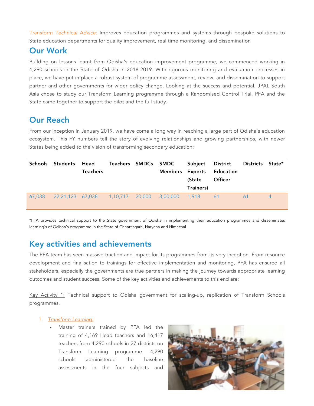*Transform Technical Advice:* Improves education programmes and systems through bespoke solutions to State education departments for quality improvement, real time monitoring, and dissemination

### Our Work

Building on lessons learnt from Odisha's education improvement programme, we commenced working in 4,290 schools in the State of Odisha in 2018-2019. With rigorous monitoring and evaluation processes in place, we have put in place a robust system of programme assessment, review, and dissemination to support partner and other governments for wider policy change. Looking at the success and potential, JPAL South Asia chose to study our Transform Learning programme through a Randomised Control Trial. PFA and the State came together to support the pilot and the full study.

### Our Reach

From our inception in January 2019, we have come a long way in reaching a large part of Odisha's education ecosystem. This FY numbers tell the story of evolving relationships and growing partnerships, with newer States being added to the vision of transforming secondary education:

|        | Schools Students Head | Teachers |  | Teachers SMDCs SMDC<br>Members Experts | Subject District<br>(State<br>Trainers) | Education<br><b>Officer</b> | Districts State* |   |
|--------|-----------------------|----------|--|----------------------------------------|-----------------------------------------|-----------------------------|------------------|---|
| 67,038 |                       |          |  |                                        |                                         |                             | 61               | 4 |

\*PFA provides technical support to the State government of Odisha in implementing their education programmes and disseminates learning's of Odisha's programme in the State of Chhattisgarh, Haryana and Himachal

### Key activities and achievements

The PFA team has seen massive traction and impact for its programmes from its very inception. From resource development and finalisation to trainings for effective implementation and monitoring, PFA has ensured all stakeholders, especially the governments are true partners in making the journey towards appropriate learning outcomes and student success. Some of the key activities and achievements to this end are:

Key Activity 1: Technical support to Odisha government for scaling-up, replication of Transform Schools programmes.

#### 1. *Transform Learning:*

• Master trainers trained by PFA led the training of 4,169 Head teachers and 16,417 teachers from 4,290 schools in 27 districts on Transform Learning programme. 4,290 schools administered the baseline assessments in the four subjects and

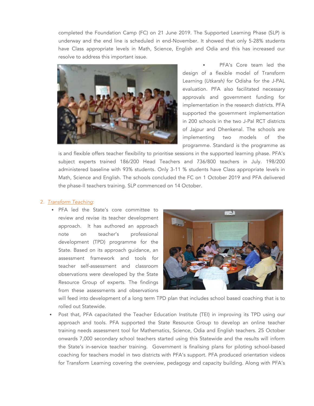completed the Foundation Camp (FC) on 21 June 2019. The Supported Learning Phase (SLP) is underway and the end line is scheduled in end-November. It showed that only 5-28% students have Class appropriate levels in Math, Science, English and Odia and this has increased our resolve to address this important issue.



PFA's Core team led the design of a flexible model of Transform Learning (*Utkarsh)* for Odisha for the J-PAL evaluation. PFA also facilitated necessary approvals and government funding for implementation in the research districts. PFA supported the government implementation in 200 schools in the two J-Pal RCT districts of Jajpur and Dhenkenal. The schools are implementing two models of the programme. Standard is the programme as

is and flexible offers teacher flexibility to prioritise sessions in the supported learning phase. PFA's subject experts trained 186/200 Head Teachers and 736/800 teachers in July. 198/200 administered baseline with 93% students. Only 3-11 % students have Class appropriate levels in Math, Science and English. The schools concluded the FC on 1 October 2019 and PFA delivered the phase-II teachers training. SLP commenced on 14 October.

#### 2. *Transform Teaching*:

• PFA led the State's core committee to review and revise its teacher development approach. It has authored an approach note on teacher's professional development (TPD) programme for the State. Based on its approach guidance, an assessment framework and tools for teacher self-assessment and classroom observations were developed by the State Resource Group of experts. The findings from these assessments and observations



will feed into development of a long term TPD plan that includes school based coaching that is to rolled out Statewide.

• Post that, PFA capacitated the Teacher Education Institute (TEI) in improving its TPD using our approach and tools. PFA supported the State Resource Group to develop an online teacher training needs assessment tool for Mathematics, Science, Odia and English teachers. 25 October onwards 7,000 secondary school teachers started using this Statewide and the results will inform the State's in-service teacher training. Government is finalising plans for piloting school-based coaching for teachers model in two districts with PFA's support. PFA produced orientation videos for Transform Learning covering the overview, pedagogy and capacity building. Along with PFA's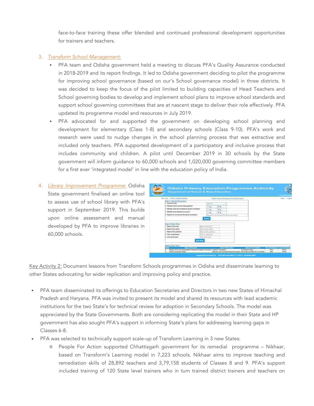face-to-face training these offer blended and continued professional development opportunities for trainers and teachers.

#### 3. *Transform School Management*:

- PFA team and Odisha government held a meeting to discuss PFA's Quality Assurance conducted in 2018-2019 and its report findings. It led to Odisha government deciding to pilot the programme for improving school governance (based on our's School governance model) in three districts. It was decided to keep the focus of the pilot limited to building capacities of Head Teachers and School governing bodies to develop and implement school plans to improve school standards and support school governing committees that are at nascent stage to deliver their role effectively. PFA updated its programme model and resources in July 2019.
- PFA advocated for and supported the government on developing school planning and development for elementary (Class 1-8) and secondary schools (Class 9-10). PFA's work and research were used to nudge changes in the school planning process that was extractive and included only teachers. PFA supported development of a participatory and inclusive process that includes community and children. A pilot until December 2019 in 30 schools by the State government will inform guidance to 60,000 schools and 1,020,000 governing committee members for a first ever 'integrated model' in line with the education policy of India.
- 4. *Library Improvement Programme*: Odisha State government finalised an online tool to assess use of school library with PFA's support in September 2019. This builds upon online assessment and manual developed by PFA to improve libraries in 60,000 schools.

| Wel Come 1 OPERA LIBRARY(LIB2100)                                                                                                                                                                          |  |                       |                                              | Collect Library information from district point |  | Home   Lopest |
|------------------------------------------------------------------------------------------------------------------------------------------------------------------------------------------------------------|--|-----------------------|----------------------------------------------|-------------------------------------------------|--|---------------|
| Step-1 :Upload Documents<br>1. "Academic year:                                                                                                                                                             |  | 2018-19               |                                              |                                                 |  |               |
| 2. Whether district recived state guideline:<br>3. 'Whether book list is finalized by district committee:<br>4. "Whether fund transferred to school :<br>5. 'Reason for not received the above documents : |  | When<br>O Yes         |                                              |                                                 |  |               |
|                                                                                                                                                                                                            |  | <sup>1</sup> Yes      | W No.                                        |                                                 |  |               |
|                                                                                                                                                                                                            |  |                       | White                                        |                                                 |  |               |
|                                                                                                                                                                                                            |  | C Yes                 | Reason for not received the above documents. |                                                 |  |               |
| Step-2 Book Entry<br>1. "Name of the book:                                                                                                                                                                 |  | Name of the book      |                                              |                                                 |  |               |
| 2. 'Name of the author:                                                                                                                                                                                    |  | Name of the author    |                                              |                                                 |  |               |
| 3. 'Name of the publisher :                                                                                                                                                                                |  | Name of the publisher |                                              |                                                 |  |               |
| 4. "Year of publication:                                                                                                                                                                                   |  | Year of publication   |                                              |                                                 |  |               |
| 5. "Cost of the book:                                                                                                                                                                                      |  | Cost of the book      |                                              |                                                 |  |               |
|                                                                                                                                                                                                            |  |                       |                                              |                                                 |  |               |

Key Activity 2: Document lessons from Transform Schools programmes in Odisha and disseminate learning to other States advocating for wider replication and improving policy and practice.

- PFA team disseminated its offerings to Education Secretaries and Directors in two new States of Himachal Pradesh and Haryana. PFA was invited to present its model and shared its resources with lead academic institutions for the two State's for technical review for adoption in Secondary Schools. The model was appreciated by the State Governments. Both are considering replicating the model in their State and HP government has also sought PFA's support in informing State's plans for addressing learning gaps in Classes 6-8.
- PFA was selected to technically support scale-up of Transform Learning in 3 new States:
	- o People For Action supported Chhattisgarh government for its remedial programme Nikhaar, based on Transform's Learning model in 7,223 schools. Nikhaar aims to improve teaching and remediation skills of 28,892 teachers and 3,79,158 students of Classes 8 and 9. PFA's support included training of 120 State level trainers who in turn trained district trainers and teachers on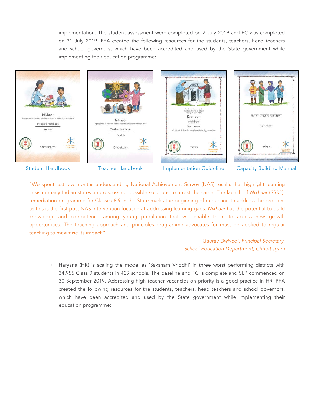implementation. The student assessment were completed on 2 July 2019 and FC was completed on 31 July 2019. PFA created the following resources for the students, teachers, head teachers and school governors, which have been accredited and used by the State government while implementing their education programme:



"We spent last few months understanding National Achievement Survey (NAS) results that highlight learning crisis in many Indian states and discussing possible solutions to arrest the same. The launch of *Nikhaar* (SSRP), remediation programme for Classes 8,9 in the State marks the beginning of our action to address the problem as this is the first post NAS intervention focused at addressing learning gaps. *Nikhaar* has the potential to build knowledge and competence among young population that will enable them to access new growth opportunities. The teaching approach and principles programme advocates for must be applied to regular teaching to maximise its impact."

#### *Gaurav Dwivedi, Principal Secretary, School Education Department, Chhattisgarh*

o Haryana (HR) is scaling the model as 'Saksham Vriddhi' in three worst performing districts with 34,955 Class 9 students in 429 schools. The baseline and FC is complete and SLP commenced on 30 September 2019. Addressing high teacher vacancies on priority is a good practice in HR. PFA created the following resources for the students, teachers, head teachers and school governors, which have been accredited and used by the State government while implementing their education programme: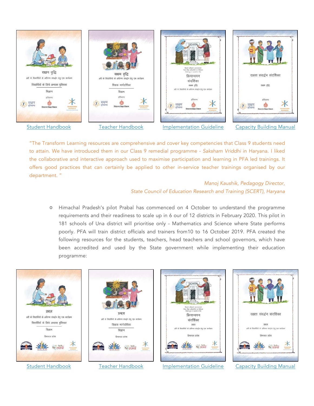

"The Transform Learning resources are comprehensive and cover key competencies that Class 9 students need to attain. We have introduced them in our Class 9 remedial programme - *Saksham Vriddhi* in Haryana. I liked the collaborative and interactive approach used to maximise participation and learning in PFA led trainings. It offers good practices that can certainly be applied to other in-service teacher trainings organised by our department. "

#### *Manoj Kaushik, Pedagogy Director, State Council of Education Research and Training (SCERT), Haryana*

o Himachal Pradesh's pilot Prabal has commenced on 4 October to understand the programme requirements and their readiness to scale up in 6 our of 12 districts in February 2020. This pilot in 181 schools of Una district will prioritise only - Mathematics and Science where State performs poorly. PFA will train district officials and trainers from10 to 16 October 2019. PFA created the following resources for the students, teachers, head teachers and school governors, which have been accredited and used by the State government while implementing their education programme: